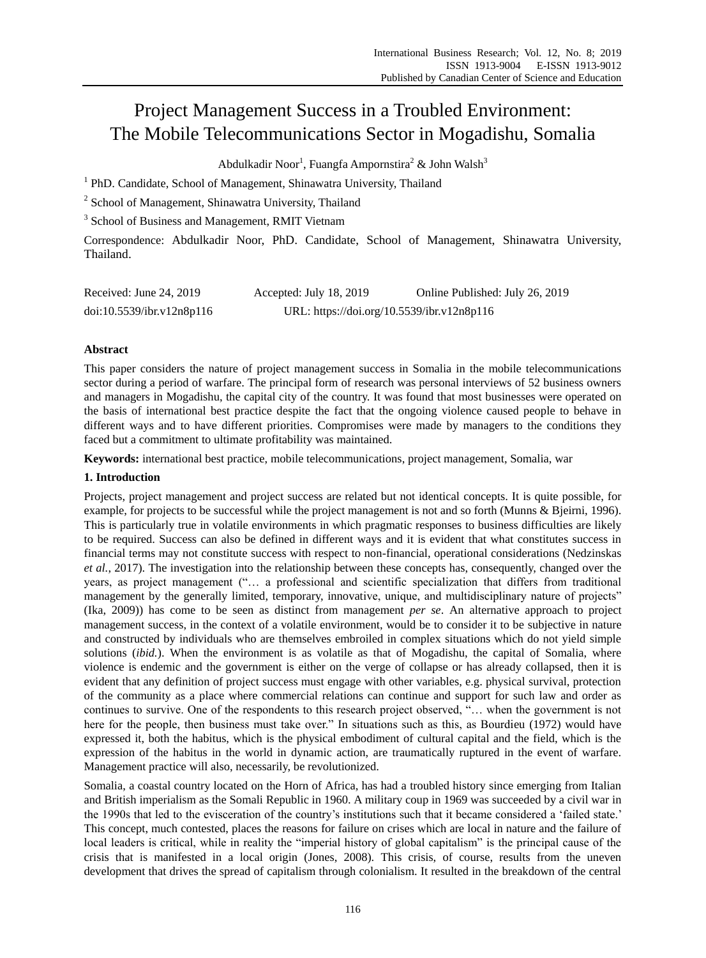# Project Management Success in a Troubled Environment: The Mobile Telecommunications Sector in Mogadishu, Somalia

Abdulkadir Noor<sup>1</sup>, Fuangfa Ampornstira $^2$  & John Walsh $^3$ 

<sup>1</sup> PhD. Candidate, School of Management, Shinawatra University, Thailand

<sup>2</sup> School of Management, Shinawatra University, Thailand

<sup>3</sup> School of Business and Management, RMIT Vietnam

Correspondence: Abdulkadir Noor, PhD. Candidate, School of Management, Shinawatra University, Thailand.

| Received: June $24, 2019$ | Accepted: July 18, 2019                    | Online Published: July 26, 2019 |
|---------------------------|--------------------------------------------|---------------------------------|
| doi:10.5539/ibr.v12n8p116 | URL: https://doi.org/10.5539/ibr.v12n8p116 |                                 |

## **Abstract**

This paper considers the nature of project management success in Somalia in the mobile telecommunications sector during a period of warfare. The principal form of research was personal interviews of 52 business owners and managers in Mogadishu, the capital city of the country. It was found that most businesses were operated on the basis of international best practice despite the fact that the ongoing violence caused people to behave in different ways and to have different priorities. Compromises were made by managers to the conditions they faced but a commitment to ultimate profitability was maintained.

**Keywords:** international best practice, mobile telecommunications, project management, Somalia, war

### **1. Introduction**

Projects, project management and project success are related but not identical concepts. It is quite possible, for example, for projects to be successful while the project management is not and so forth (Munns & Bjeirni, 1996). This is particularly true in volatile environments in which pragmatic responses to business difficulties are likely to be required. Success can also be defined in different ways and it is evident that what constitutes success in financial terms may not constitute success with respect to non-financial, operational considerations (Nedzinskas *et al.*, 2017). The investigation into the relationship between these concepts has, consequently, changed over the years, as project management ("… a professional and scientific specialization that differs from traditional management by the generally limited, temporary, innovative, unique, and multidisciplinary nature of projects" (Ika, 2009)) has come to be seen as distinct from management *per se*. An alternative approach to project management success, in the context of a volatile environment, would be to consider it to be subjective in nature and constructed by individuals who are themselves embroiled in complex situations which do not yield simple solutions (*ibid.*). When the environment is as volatile as that of Mogadishu, the capital of Somalia, where violence is endemic and the government is either on the verge of collapse or has already collapsed, then it is evident that any definition of project success must engage with other variables, e.g. physical survival, protection of the community as a place where commercial relations can continue and support for such law and order as continues to survive. One of the respondents to this research project observed, "… when the government is not here for the people, then business must take over." In situations such as this, as Bourdieu (1972) would have expressed it, both the habitus, which is the physical embodiment of cultural capital and the field, which is the expression of the habitus in the world in dynamic action, are traumatically ruptured in the event of warfare. Management practice will also, necessarily, be revolutionized.

Somalia, a coastal country located on the Horn of Africa, has had a troubled history since emerging from Italian and British imperialism as the Somali Republic in 1960. A military coup in 1969 was succeeded by a civil war in the 1990s that led to the evisceration of the country's institutions such that it became considered a 'failed state.' This concept, much contested, places the reasons for failure on crises which are local in nature and the failure of local leaders is critical, while in reality the "imperial history of global capitalism" is the principal cause of the crisis that is manifested in a local origin (Jones, 2008). This crisis, of course, results from the uneven development that drives the spread of capitalism through colonialism. It resulted in the breakdown of the central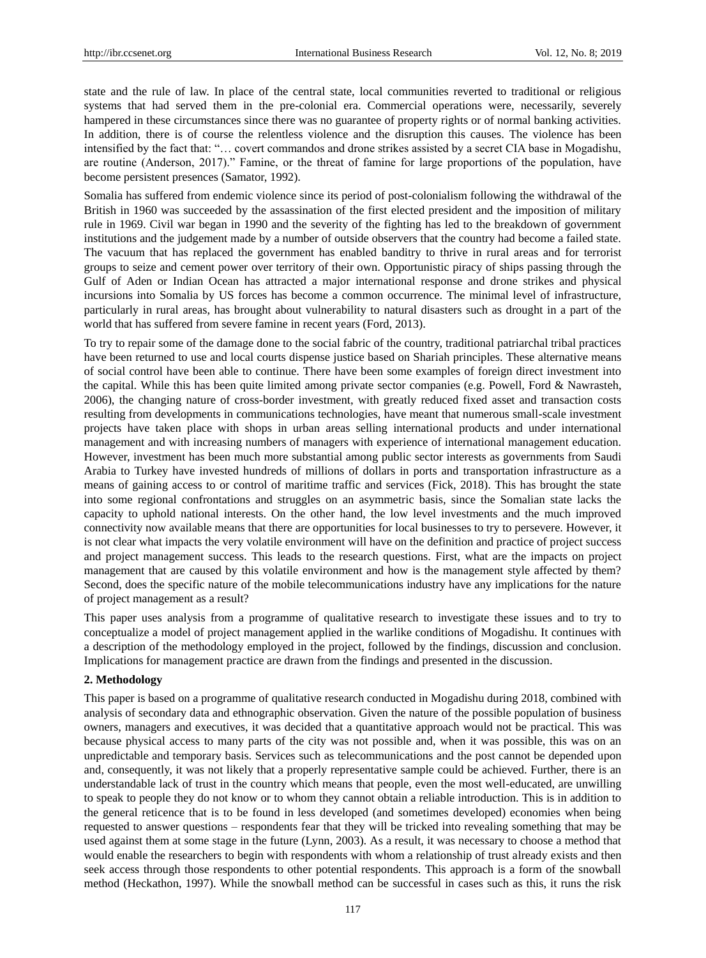state and the rule of law. In place of the central state, local communities reverted to traditional or religious systems that had served them in the pre-colonial era. Commercial operations were, necessarily, severely hampered in these circumstances since there was no guarantee of property rights or of normal banking activities. In addition, there is of course the relentless violence and the disruption this causes. The violence has been intensified by the fact that: "… covert commandos and drone strikes assisted by a secret CIA base in Mogadishu, are routine (Anderson, 2017)." Famine, or the threat of famine for large proportions of the population, have become persistent presences (Samator, 1992).

Somalia has suffered from endemic violence since its period of post-colonialism following the withdrawal of the British in 1960 was succeeded by the assassination of the first elected president and the imposition of military rule in 1969. Civil war began in 1990 and the severity of the fighting has led to the breakdown of government institutions and the judgement made by a number of outside observers that the country had become a failed state. The vacuum that has replaced the government has enabled banditry to thrive in rural areas and for terrorist groups to seize and cement power over territory of their own. Opportunistic piracy of ships passing through the Gulf of Aden or Indian Ocean has attracted a major international response and drone strikes and physical incursions into Somalia by US forces has become a common occurrence. The minimal level of infrastructure, particularly in rural areas, has brought about vulnerability to natural disasters such as drought in a part of the world that has suffered from severe famine in recent years (Ford, 2013).

To try to repair some of the damage done to the social fabric of the country, traditional patriarchal tribal practices have been returned to use and local courts dispense justice based on Shariah principles. These alternative means of social control have been able to continue. There have been some examples of foreign direct investment into the capital. While this has been quite limited among private sector companies (e.g. Powell, Ford & Nawrasteh, 2006), the changing nature of cross-border investment, with greatly reduced fixed asset and transaction costs resulting from developments in communications technologies, have meant that numerous small-scale investment projects have taken place with shops in urban areas selling international products and under international management and with increasing numbers of managers with experience of international management education. However, investment has been much more substantial among public sector interests as governments from Saudi Arabia to Turkey have invested hundreds of millions of dollars in ports and transportation infrastructure as a means of gaining access to or control of maritime traffic and services (Fick, 2018). This has brought the state into some regional confrontations and struggles on an asymmetric basis, since the Somalian state lacks the capacity to uphold national interests. On the other hand, the low level investments and the much improved connectivity now available means that there are opportunities for local businesses to try to persevere. However, it is not clear what impacts the very volatile environment will have on the definition and practice of project success and project management success. This leads to the research questions. First, what are the impacts on project management that are caused by this volatile environment and how is the management style affected by them? Second, does the specific nature of the mobile telecommunications industry have any implications for the nature of project management as a result?

This paper uses analysis from a programme of qualitative research to investigate these issues and to try to conceptualize a model of project management applied in the warlike conditions of Mogadishu. It continues with a description of the methodology employed in the project, followed by the findings, discussion and conclusion. Implications for management practice are drawn from the findings and presented in the discussion.

## **2. Methodology**

This paper is based on a programme of qualitative research conducted in Mogadishu during 2018, combined with analysis of secondary data and ethnographic observation. Given the nature of the possible population of business owners, managers and executives, it was decided that a quantitative approach would not be practical. This was because physical access to many parts of the city was not possible and, when it was possible, this was on an unpredictable and temporary basis. Services such as telecommunications and the post cannot be depended upon and, consequently, it was not likely that a properly representative sample could be achieved. Further, there is an understandable lack of trust in the country which means that people, even the most well-educated, are unwilling to speak to people they do not know or to whom they cannot obtain a reliable introduction. This is in addition to the general reticence that is to be found in less developed (and sometimes developed) economies when being requested to answer questions – respondents fear that they will be tricked into revealing something that may be used against them at some stage in the future (Lynn, 2003). As a result, it was necessary to choose a method that would enable the researchers to begin with respondents with whom a relationship of trust already exists and then seek access through those respondents to other potential respondents. This approach is a form of the snowball method (Heckathon, 1997). While the snowball method can be successful in cases such as this, it runs the risk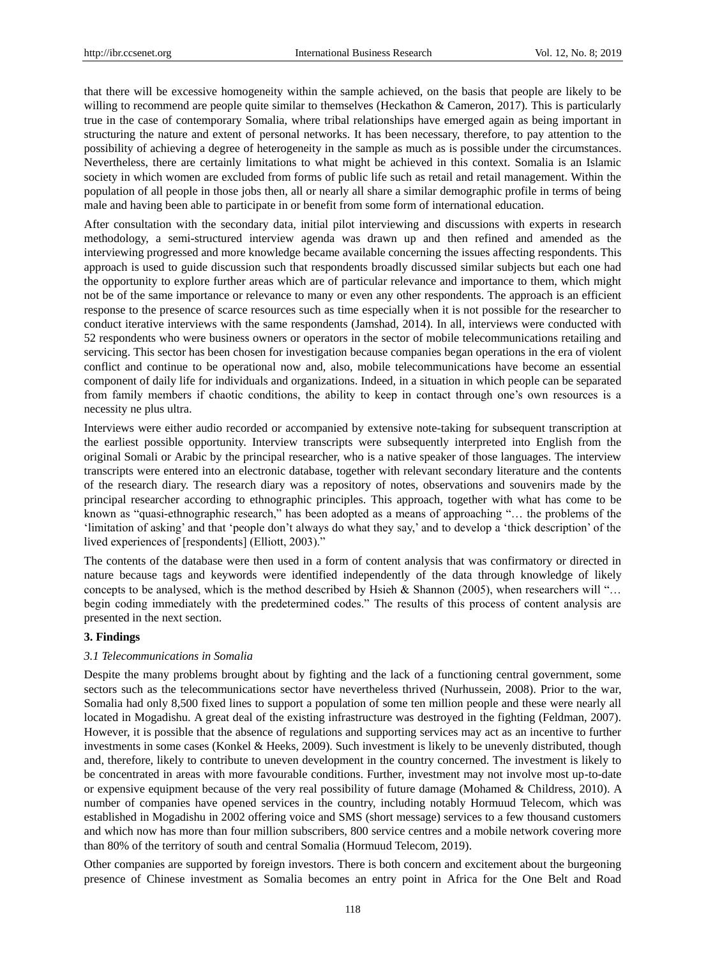that there will be excessive homogeneity within the sample achieved, on the basis that people are likely to be willing to recommend are people quite similar to themselves (Heckathon & Cameron, 2017). This is particularly true in the case of contemporary Somalia, where tribal relationships have emerged again as being important in structuring the nature and extent of personal networks. It has been necessary, therefore, to pay attention to the possibility of achieving a degree of heterogeneity in the sample as much as is possible under the circumstances. Nevertheless, there are certainly limitations to what might be achieved in this context. Somalia is an Islamic society in which women are excluded from forms of public life such as retail and retail management. Within the population of all people in those jobs then, all or nearly all share a similar demographic profile in terms of being male and having been able to participate in or benefit from some form of international education.

After consultation with the secondary data, initial pilot interviewing and discussions with experts in research methodology, a semi-structured interview agenda was drawn up and then refined and amended as the interviewing progressed and more knowledge became available concerning the issues affecting respondents. This approach is used to guide discussion such that respondents broadly discussed similar subjects but each one had the opportunity to explore further areas which are of particular relevance and importance to them, which might not be of the same importance or relevance to many or even any other respondents. The approach is an efficient response to the presence of scarce resources such as time especially when it is not possible for the researcher to conduct iterative interviews with the same respondents (Jamshad, 2014). In all, interviews were conducted with 52 respondents who were business owners or operators in the sector of mobile telecommunications retailing and servicing. This sector has been chosen for investigation because companies began operations in the era of violent conflict and continue to be operational now and, also, mobile telecommunications have become an essential component of daily life for individuals and organizations. Indeed, in a situation in which people can be separated from family members if chaotic conditions, the ability to keep in contact through one"s own resources is a necessity ne plus ultra.

Interviews were either audio recorded or accompanied by extensive note-taking for subsequent transcription at the earliest possible opportunity. Interview transcripts were subsequently interpreted into English from the original Somali or Arabic by the principal researcher, who is a native speaker of those languages. The interview transcripts were entered into an electronic database, together with relevant secondary literature and the contents of the research diary. The research diary was a repository of notes, observations and souvenirs made by the principal researcher according to ethnographic principles. This approach, together with what has come to be known as "quasi-ethnographic research," has been adopted as a means of approaching "… the problems of the "limitation of asking" and that "people don"t always do what they say," and to develop a "thick description" of the lived experiences of [respondents] (Elliott, 2003)."

The contents of the database were then used in a form of content analysis that was confirmatory or directed in nature because tags and keywords were identified independently of the data through knowledge of likely concepts to be analysed, which is the method described by Hsieh & Shannon (2005), when researchers will "... begin coding immediately with the predetermined codes." The results of this process of content analysis are presented in the next section.

#### **3. Findings**

#### *3.1 Telecommunications in Somalia*

Despite the many problems brought about by fighting and the lack of a functioning central government, some sectors such as the telecommunications sector have nevertheless thrived (Nurhussein, 2008). Prior to the war, Somalia had only 8,500 fixed lines to support a population of some ten million people and these were nearly all located in Mogadishu. A great deal of the existing infrastructure was destroyed in the fighting (Feldman, 2007). However, it is possible that the absence of regulations and supporting services may act as an incentive to further investments in some cases (Konkel & Heeks, 2009). Such investment is likely to be unevenly distributed, though and, therefore, likely to contribute to uneven development in the country concerned. The investment is likely to be concentrated in areas with more favourable conditions. Further, investment may not involve most up-to-date or expensive equipment because of the very real possibility of future damage (Mohamed & Childress, 2010). A number of companies have opened services in the country, including notably Hormuud Telecom, which was established in Mogadishu in 2002 offering voice and SMS (short message) services to a few thousand customers and which now has more than four million subscribers, 800 service centres and a mobile network covering more than 80% of the territory of south and central Somalia (Hormuud Telecom, 2019).

Other companies are supported by foreign investors. There is both concern and excitement about the burgeoning presence of Chinese investment as Somalia becomes an entry point in Africa for the One Belt and Road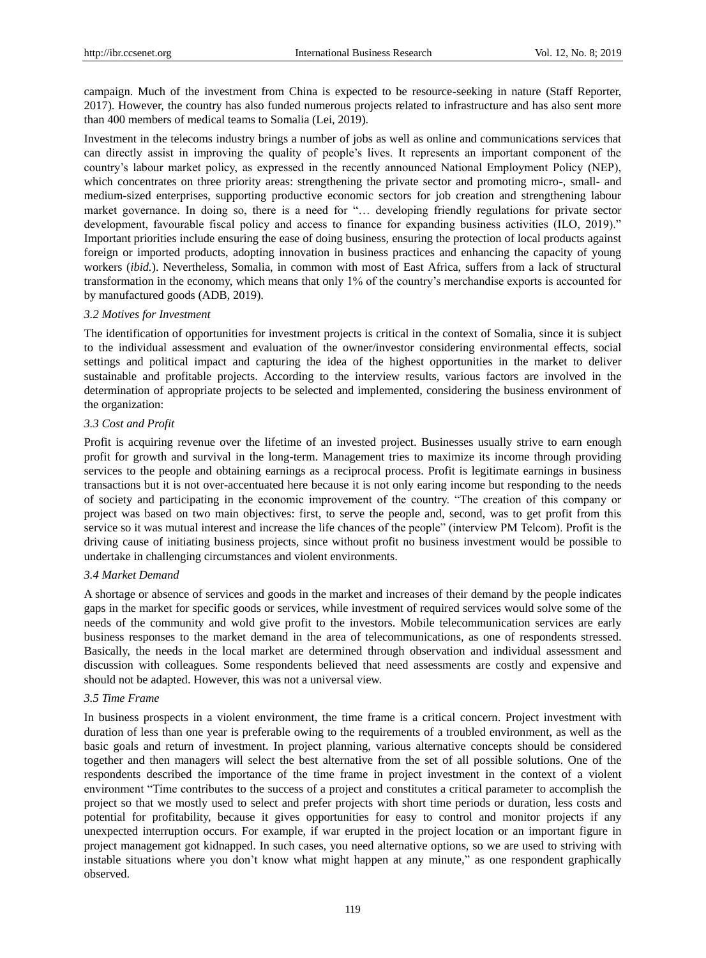campaign. Much of the investment from China is expected to be resource-seeking in nature (Staff Reporter, 2017). However, the country has also funded numerous projects related to infrastructure and has also sent more than 400 members of medical teams to Somalia (Lei, 2019).

Investment in the telecoms industry brings a number of jobs as well as online and communications services that can directly assist in improving the quality of people"s lives. It represents an important component of the country"s labour market policy, as expressed in the recently announced National Employment Policy (NEP), which concentrates on three priority areas: strengthening the private sector and promoting micro-, small- and medium-sized enterprises, supporting productive economic sectors for job creation and strengthening labour market governance. In doing so, there is a need for "… developing friendly regulations for private sector development, favourable fiscal policy and access to finance for expanding business activities (ILO, 2019)." Important priorities include ensuring the ease of doing business, ensuring the protection of local products against foreign or imported products, adopting innovation in business practices and enhancing the capacity of young workers (*ibid.*). Nevertheless, Somalia, in common with most of East Africa, suffers from a lack of structural transformation in the economy, which means that only 1% of the country"s merchandise exports is accounted for by manufactured goods (ADB, 2019).

#### *3.2 Motives for Investment*

The identification of opportunities for investment projects is critical in the context of Somalia, since it is subject to the individual assessment and evaluation of the owner/investor considering environmental effects, social settings and political impact and capturing the idea of the highest opportunities in the market to deliver sustainable and profitable projects. According to the interview results, various factors are involved in the determination of appropriate projects to be selected and implemented, considering the business environment of the organization:

#### *3.3 Cost and Profit*

Profit is acquiring revenue over the lifetime of an invested project. Businesses usually strive to earn enough profit for growth and survival in the long-term. Management tries to maximize its income through providing services to the people and obtaining earnings as a reciprocal process. Profit is legitimate earnings in business transactions but it is not over-accentuated here because it is not only earing income but responding to the needs of society and participating in the economic improvement of the country. "The creation of this company or project was based on two main objectives: first, to serve the people and, second, was to get profit from this service so it was mutual interest and increase the life chances of the people" (interview PM Telcom). Profit is the driving cause of initiating business projects, since without profit no business investment would be possible to undertake in challenging circumstances and violent environments.

#### *3.4 Market Demand*

A shortage or absence of services and goods in the market and increases of their demand by the people indicates gaps in the market for specific goods or services, while investment of required services would solve some of the needs of the community and wold give profit to the investors. Mobile telecommunication services are early business responses to the market demand in the area of telecommunications, as one of respondents stressed. Basically, the needs in the local market are determined through observation and individual assessment and discussion with colleagues. Some respondents believed that need assessments are costly and expensive and should not be adapted. However, this was not a universal view.

## *3.5 Time Frame*

In business prospects in a violent environment, the time frame is a critical concern. Project investment with duration of less than one year is preferable owing to the requirements of a troubled environment, as well as the basic goals and return of investment. In project planning, various alternative concepts should be considered together and then managers will select the best alternative from the set of all possible solutions. One of the respondents described the importance of the time frame in project investment in the context of a violent environment "Time contributes to the success of a project and constitutes a critical parameter to accomplish the project so that we mostly used to select and prefer projects with short time periods or duration, less costs and potential for profitability, because it gives opportunities for easy to control and monitor projects if any unexpected interruption occurs. For example, if war erupted in the project location or an important figure in project management got kidnapped. In such cases, you need alternative options, so we are used to striving with instable situations where you don"t know what might happen at any minute," as one respondent graphically observed.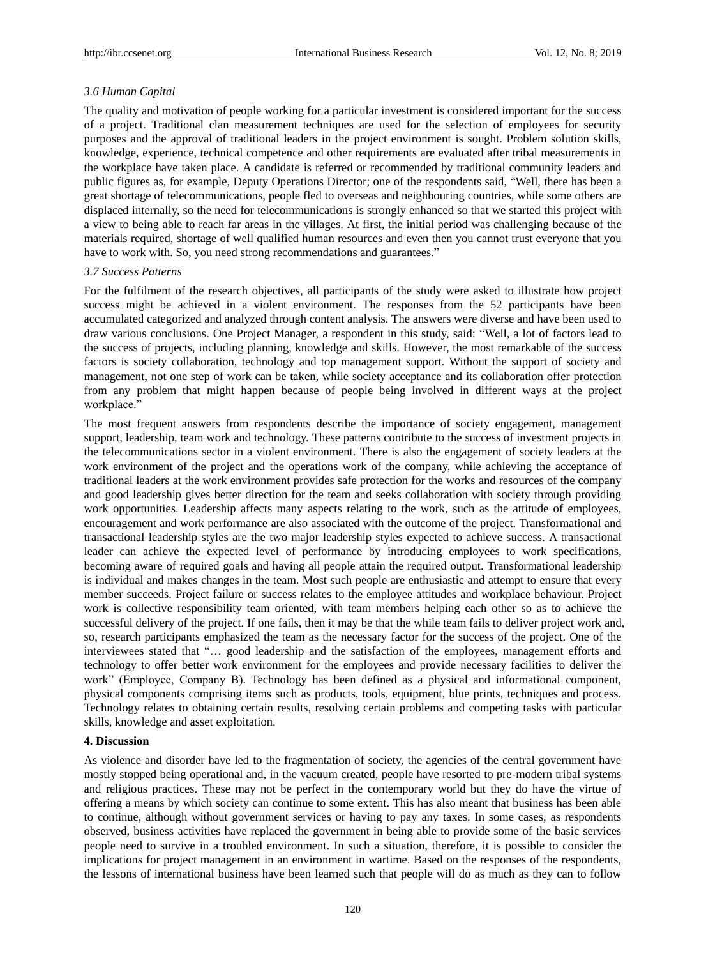#### *3.6 Human Capital*

The quality and motivation of people working for a particular investment is considered important for the success of a project. Traditional clan measurement techniques are used for the selection of employees for security purposes and the approval of traditional leaders in the project environment is sought. Problem solution skills, knowledge, experience, technical competence and other requirements are evaluated after tribal measurements in the workplace have taken place. A candidate is referred or recommended by traditional community leaders and public figures as, for example, Deputy Operations Director; one of the respondents said, "Well, there has been a great shortage of telecommunications, people fled to overseas and neighbouring countries, while some others are displaced internally, so the need for telecommunications is strongly enhanced so that we started this project with a view to being able to reach far areas in the villages. At first, the initial period was challenging because of the materials required, shortage of well qualified human resources and even then you cannot trust everyone that you have to work with. So, you need strong recommendations and guarantees."

#### *3.7 Success Patterns*

For the fulfilment of the research objectives, all participants of the study were asked to illustrate how project success might be achieved in a violent environment. The responses from the 52 participants have been accumulated categorized and analyzed through content analysis. The answers were diverse and have been used to draw various conclusions. One Project Manager, a respondent in this study, said: "Well, a lot of factors lead to the success of projects, including planning, knowledge and skills. However, the most remarkable of the success factors is society collaboration, technology and top management support. Without the support of society and management, not one step of work can be taken, while society acceptance and its collaboration offer protection from any problem that might happen because of people being involved in different ways at the project workplace."

The most frequent answers from respondents describe the importance of society engagement, management support, leadership, team work and technology. These patterns contribute to the success of investment projects in the telecommunications sector in a violent environment. There is also the engagement of society leaders at the work environment of the project and the operations work of the company, while achieving the acceptance of traditional leaders at the work environment provides safe protection for the works and resources of the company and good leadership gives better direction for the team and seeks collaboration with society through providing work opportunities. Leadership affects many aspects relating to the work, such as the attitude of employees, encouragement and work performance are also associated with the outcome of the project. Transformational and transactional leadership styles are the two major leadership styles expected to achieve success. A transactional leader can achieve the expected level of performance by introducing employees to work specifications, becoming aware of required goals and having all people attain the required output. Transformational leadership is individual and makes changes in the team. Most such people are enthusiastic and attempt to ensure that every member succeeds. Project failure or success relates to the employee attitudes and workplace behaviour. Project work is collective responsibility team oriented, with team members helping each other so as to achieve the successful delivery of the project. If one fails, then it may be that the while team fails to deliver project work and, so, research participants emphasized the team as the necessary factor for the success of the project. One of the interviewees stated that "… good leadership and the satisfaction of the employees, management efforts and technology to offer better work environment for the employees and provide necessary facilities to deliver the work" (Employee, Company B). Technology has been defined as a physical and informational component, physical components comprising items such as products, tools, equipment, blue prints, techniques and process. Technology relates to obtaining certain results, resolving certain problems and competing tasks with particular skills, knowledge and asset exploitation.

## **4. Discussion**

As violence and disorder have led to the fragmentation of society, the agencies of the central government have mostly stopped being operational and, in the vacuum created, people have resorted to pre-modern tribal systems and religious practices. These may not be perfect in the contemporary world but they do have the virtue of offering a means by which society can continue to some extent. This has also meant that business has been able to continue, although without government services or having to pay any taxes. In some cases, as respondents observed, business activities have replaced the government in being able to provide some of the basic services people need to survive in a troubled environment. In such a situation, therefore, it is possible to consider the implications for project management in an environment in wartime. Based on the responses of the respondents, the lessons of international business have been learned such that people will do as much as they can to follow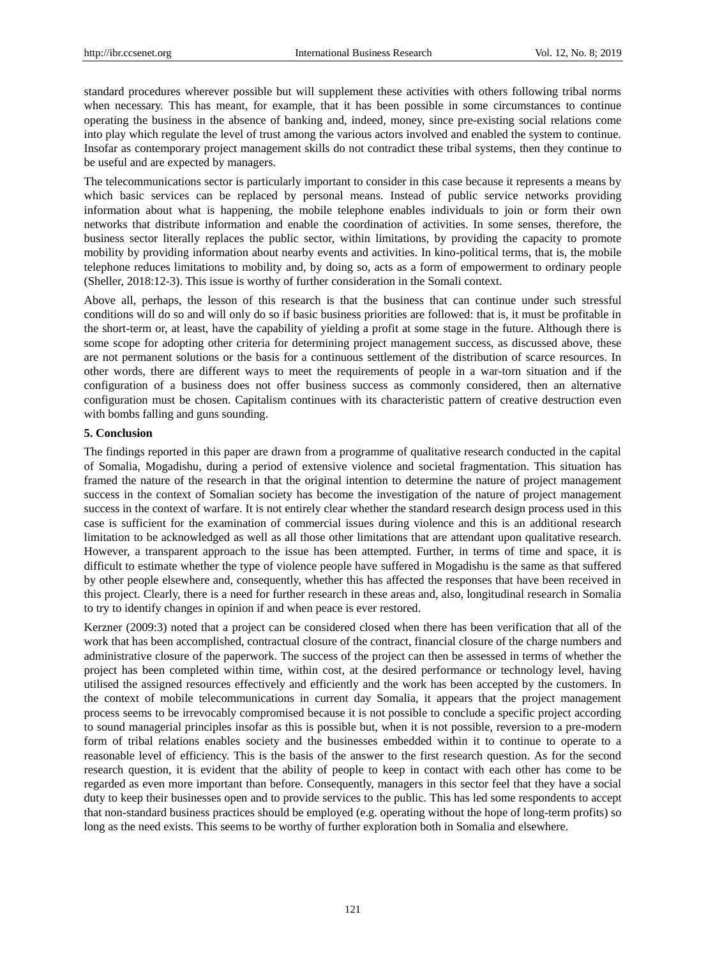standard procedures wherever possible but will supplement these activities with others following tribal norms when necessary. This has meant, for example, that it has been possible in some circumstances to continue operating the business in the absence of banking and, indeed, money, since pre-existing social relations come into play which regulate the level of trust among the various actors involved and enabled the system to continue. Insofar as contemporary project management skills do not contradict these tribal systems, then they continue to be useful and are expected by managers.

The telecommunications sector is particularly important to consider in this case because it represents a means by which basic services can be replaced by personal means. Instead of public service networks providing information about what is happening, the mobile telephone enables individuals to join or form their own networks that distribute information and enable the coordination of activities. In some senses, therefore, the business sector literally replaces the public sector, within limitations, by providing the capacity to promote mobility by providing information about nearby events and activities. In kino-political terms, that is, the mobile telephone reduces limitations to mobility and, by doing so, acts as a form of empowerment to ordinary people (Sheller, 2018:12-3). This issue is worthy of further consideration in the Somali context.

Above all, perhaps, the lesson of this research is that the business that can continue under such stressful conditions will do so and will only do so if basic business priorities are followed: that is, it must be profitable in the short-term or, at least, have the capability of yielding a profit at some stage in the future. Although there is some scope for adopting other criteria for determining project management success, as discussed above, these are not permanent solutions or the basis for a continuous settlement of the distribution of scarce resources. In other words, there are different ways to meet the requirements of people in a war-torn situation and if the configuration of a business does not offer business success as commonly considered, then an alternative configuration must be chosen. Capitalism continues with its characteristic pattern of creative destruction even with bombs falling and guns sounding.

#### **5. Conclusion**

The findings reported in this paper are drawn from a programme of qualitative research conducted in the capital of Somalia, Mogadishu, during a period of extensive violence and societal fragmentation. This situation has framed the nature of the research in that the original intention to determine the nature of project management success in the context of Somalian society has become the investigation of the nature of project management success in the context of warfare. It is not entirely clear whether the standard research design process used in this case is sufficient for the examination of commercial issues during violence and this is an additional research limitation to be acknowledged as well as all those other limitations that are attendant upon qualitative research. However, a transparent approach to the issue has been attempted. Further, in terms of time and space, it is difficult to estimate whether the type of violence people have suffered in Mogadishu is the same as that suffered by other people elsewhere and, consequently, whether this has affected the responses that have been received in this project. Clearly, there is a need for further research in these areas and, also, longitudinal research in Somalia to try to identify changes in opinion if and when peace is ever restored.

Kerzner (2009:3) noted that a project can be considered closed when there has been verification that all of the work that has been accomplished, contractual closure of the contract, financial closure of the charge numbers and administrative closure of the paperwork. The success of the project can then be assessed in terms of whether the project has been completed within time, within cost, at the desired performance or technology level, having utilised the assigned resources effectively and efficiently and the work has been accepted by the customers. In the context of mobile telecommunications in current day Somalia, it appears that the project management process seems to be irrevocably compromised because it is not possible to conclude a specific project according to sound managerial principles insofar as this is possible but, when it is not possible, reversion to a pre-modern form of tribal relations enables society and the businesses embedded within it to continue to operate to a reasonable level of efficiency. This is the basis of the answer to the first research question. As for the second research question, it is evident that the ability of people to keep in contact with each other has come to be regarded as even more important than before. Consequently, managers in this sector feel that they have a social duty to keep their businesses open and to provide services to the public. This has led some respondents to accept that non-standard business practices should be employed (e.g. operating without the hope of long-term profits) so long as the need exists. This seems to be worthy of further exploration both in Somalia and elsewhere.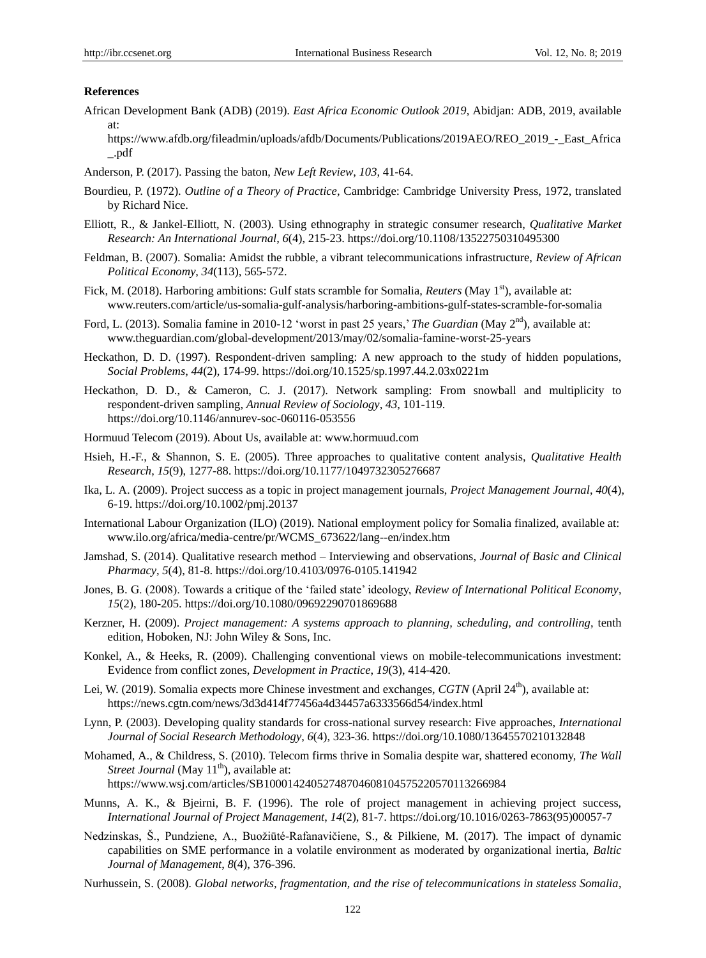#### **References**

- African Development Bank (ADB) (2019). *East Africa Economic Outlook 2019*, Abidjan: ADB, 2019, available at:
	- https://www.afdb.org/fileadmin/uploads/afdb/Documents/Publications/2019AEO/REO\_2019\_-\_East\_Africa \_.pdf
- Anderson, P. (2017). Passing the baton, *New Left Review*, *103*, 41-64.
- Bourdieu, P. (1972). *Outline of a Theory of Practice*, Cambridge: Cambridge University Press, 1972, translated by Richard Nice.
- Elliott, R., & Jankel-Elliott, N. (2003). Using ethnography in strategic consumer research, *Qualitative Market Research: An International Journal*, *6*(4), 215-23. https://doi.org/10.1108/13522750310495300
- Feldman, B. (2007). Somalia: Amidst the rubble, a vibrant telecommunications infrastructure, *Review of African Political Economy*, *34*(113), 565-572.
- Fick, M. (2018). Harboring ambitions: Gulf stats scramble for Somalia, *Reuters* (May 1<sup>st</sup>), available at: www.reuters.com/article/us-somalia-gulf-analysis/harboring-ambitions-gulf-states-scramble-for-somalia
- Ford, L. (2013). Somalia famine in 2010-12 'worst in past 25 years,' *The Guardian* (May 2<sup>nd</sup>), available at: www.theguardian.com/global-development/2013/may/02/somalia-famine-worst-25-years
- Heckathon, D. D. (1997). Respondent-driven sampling: A new approach to the study of hidden populations, *Social Problems*, *44*(2), 174-99. https://doi.org/10.1525/sp.1997.44.2.03x0221m
- Heckathon, D. D., & Cameron, C. J. (2017). Network sampling: From snowball and multiplicity to respondent-driven sampling, *Annual Review of Sociology*, *43*, 101-119. https://doi.org/10.1146/annurev-soc-060116-053556
- Hormuud Telecom (2019). About Us, available at: www.hormuud.com
- Hsieh, H.-F., & Shannon, S. E. (2005). Three approaches to qualitative content analysis, *Qualitative Health Research*, *15*(9), 1277-88. https://doi.org/10.1177/1049732305276687
- Ika, L. A. (2009). Project success as a topic in project management journals, *Project Management Journal*, *40*(4), 6-19. https://doi.org/10.1002/pmj.20137
- International Labour Organization (ILO) (2019). National employment policy for Somalia finalized, available at: www.ilo.org/africa/media-centre/pr/WCMS\_673622/lang--en/index.htm
- Jamshad, S. (2014). Qualitative research method Interviewing and observations, *Journal of Basic and Clinical Pharmacy*, *5*(4), 81-8. https://doi.org/10.4103/0976-0105.141942
- Jones, B. G. (2008). Towards a critique of the "failed state" ideology, *Review of International Political Economy*, *15*(2), 180-205. https://doi.org/10.1080/09692290701869688
- Kerzner, H. (2009). *Project management: A systems approach to planning, scheduling, and controlling*, tenth edition, Hoboken, NJ: John Wiley & Sons, Inc.
- Konkel, A., & Heeks, R. (2009). Challenging conventional views on mobile-telecommunications investment: Evidence from conflict zones, *Development in Practice*, *19*(3), 414-420.
- Lei, W. (2019). Somalia expects more Chinese investment and exchanges, *CGTN* (April 24<sup>th</sup>), available at: https://news.cgtn.com/news/3d3d414f77456a4d34457a6333566d54/index.html
- Lynn, P. (2003). Developing quality standards for cross-national survey research: Five approaches, *International Journal of Social Research Methodology*, *6*(4), 323-36. https://doi.org/10.1080/13645570210132848
- Mohamed, A., & Childress, S. (2010). Telecom firms thrive in Somalia despite war, shattered economy, *The Wall Street Journal* (May 11<sup>th</sup>), available at:

https://www.wsj.com/articles/SB10001424052748704608104575220570113266984

- Munns, A. K., & Bjeirni, B. F. (1996). The role of project management in achieving project success, *International Journal of Project Management*, *14*(2), 81-7. https://doi.org/10.1016/0263-7863(95)00057-7
- Nedzinskas, Š., Pundziene, A., Buožiūté-Rafanavičiene, S., & Pilkiene, M. (2017). The impact of dynamic capabilities on SME performance in a volatile environment as moderated by organizational inertia, *Baltic Journal of Management*, *8*(4), 376-396.
- Nurhussein, S. (2008). *Global networks, fragmentation, and the rise of telecommunications in stateless Somalia*,